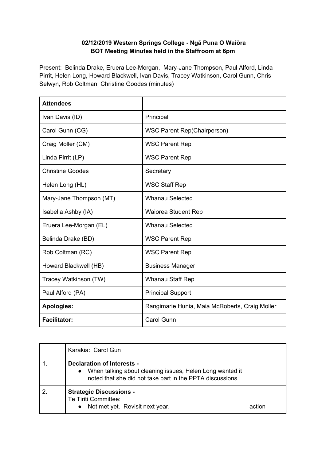## **02/12/2019 Western Springs College - Ngā Puna O Waiōra BOT Meeting Minutes held in the Staffroom at 6pm**

Present: Belinda Drake, Eruera Lee-Morgan, Mary-Jane Thompson, Paul Alford, Linda Pirrit, Helen Long, Howard Blackwell, Ivan Davis, Tracey Watkinson, Carol Gunn, Chris Selwyn, Rob Coltman, Christine Goodes (minutes)

| <b>Attendees</b>        |                                                |
|-------------------------|------------------------------------------------|
| Ivan Davis (ID)         | Principal                                      |
| Carol Gunn (CG)         | <b>WSC Parent Rep(Chairperson)</b>             |
| Craig Moller (CM)       | <b>WSC Parent Rep</b>                          |
| Linda Pirrit (LP)       | <b>WSC Parent Rep</b>                          |
| <b>Christine Goodes</b> | Secretary                                      |
| Helen Long (HL)         | <b>WSC Staff Rep</b>                           |
| Mary-Jane Thompson (MT) | <b>Whanau Selected</b>                         |
| Isabella Ashby (IA)     | <b>Waiorea Student Rep</b>                     |
| Eruera Lee-Morgan (EL)  | <b>Whanau Selected</b>                         |
| Belinda Drake (BD)      | <b>WSC Parent Rep</b>                          |
| Rob Coltman (RC)        | <b>WSC Parent Rep</b>                          |
| Howard Blackwell (HB)   | <b>Business Manager</b>                        |
| Tracey Watkinson (TW)   | <b>Whanau Staff Rep</b>                        |
| Paul Alford (PA)        | <b>Principal Support</b>                       |
| <b>Apologies:</b>       | Rangimarie Hunia, Maia McRoberts, Craig Moller |
| <b>Facilitator:</b>     | <b>Carol Gunn</b>                              |

| Karakia: Carol Gun                                                                                                                                                      |        |
|-------------------------------------------------------------------------------------------------------------------------------------------------------------------------|--------|
| <b>Declaration of Interests -</b><br>When talking about cleaning issues, Helen Long wanted it<br>$\bullet$<br>noted that she did not take part in the PPTA discussions. |        |
| <b>Strategic Discussions -</b><br>Te Tiriti Committee:<br>Not met yet. Revisit next year.                                                                               | action |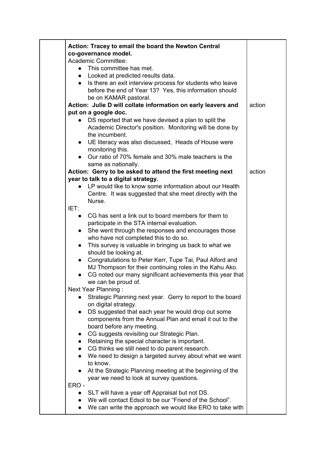| Action: Tracey to email the board the Newton Central                                                   |        |
|--------------------------------------------------------------------------------------------------------|--------|
| co-governance model.                                                                                   |        |
| Academic Committee:                                                                                    |        |
| • This committee has met.                                                                              |        |
| • Looked at predicted results data.                                                                    |        |
| Is there an exit interview process for students who leave<br>$\bullet$                                 |        |
| before the end of Year 13? Yes, this information should                                                |        |
| be on KAMAR pastoral.                                                                                  | action |
| Action: Julie D will collate information on early leavers and<br>put on a google doc.                  |        |
| DS reported that we have devised a plan to split the                                                   |        |
| Academic Director's position. Monitoring will be done by                                               |        |
| the incumbent.                                                                                         |        |
| UE literacy was also discussed, Heads of House were<br>$\bullet$                                       |        |
| monitoring this.                                                                                       |        |
| Our ratio of 70% female and 30% male teachers is the                                                   |        |
| same as nationally.                                                                                    |        |
| Action: Gerry to be asked to attend the first meeting next                                             | action |
| year to talk to a digital strategy.                                                                    |        |
| LP would like to know some information about our Health                                                |        |
| Centre. It was suggested that she meet directly with the                                               |        |
| Nurse.                                                                                                 |        |
| IET:                                                                                                   |        |
| CG has sent a link out to board members for them to<br>$\bullet$                                       |        |
| participate in the STA internal evaluation.                                                            |        |
| She went through the responses and encourages those<br>$\bullet$                                       |        |
| who have not completed this to do so.                                                                  |        |
| This survey is valuable in bringing us back to what we<br>$\bullet$<br>should be looking at.           |        |
| Congratulations to Peter Kerr, Tupe Tai, Paul Alford and<br>$\bullet$                                  |        |
| MJ Thompson for their continuing roles in the Kahu Ako.                                                |        |
| CG noted our many significant achievements this year that                                              |        |
| we can be proud of.                                                                                    |        |
| Next Year Planning:                                                                                    |        |
| Strategic Planning next year. Gerry to report to the board                                             |        |
| on digital strategy.                                                                                   |        |
| DS suggested that each year he would drop out some                                                     |        |
| components from the Annual Plan and email it out to the                                                |        |
| board before any meeting.                                                                              |        |
| CG suggests revisiting our Strategic Plan.<br>$\bullet$                                                |        |
| Retaining the special character is important.                                                          |        |
| CG thinks we still need to do parent research.                                                         |        |
| We need to design a targeted survey about what we want                                                 |        |
| to know.                                                                                               |        |
| At the Strategic Planning meeting at the beginning of the<br>year we need to look at survey questions. |        |
| ERO-                                                                                                   |        |
| • SLT will have a year off Appraisal but not DS.                                                       |        |
| • We will contact Edsol to be our "Friend of the School".                                              |        |
| We can write the approach we would like ERO to take with                                               |        |
|                                                                                                        |        |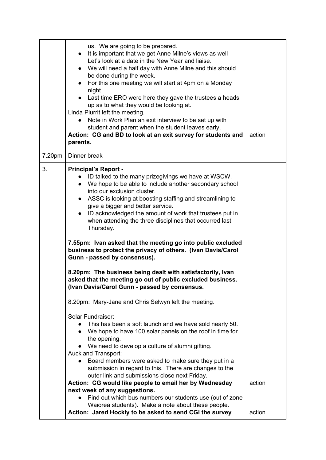|        | us. We are going to be prepared.<br>It is important that we get Anne Milne's views as well<br>$\bullet$<br>Let's look at a date in the New Year and liaise.<br>• We will need a half day with Anne Milne and this should<br>be done during the week.<br>For this one meeting we will start at 4pm on a Monday<br>$\bullet$<br>night.<br>• Last time ERO were here they gave the trustees a heads<br>up as to what they would be looking at.<br>Linda Piurrit left the meeting.<br>Note in Work Plan an exit interview to be set up with<br>$\bullet$<br>student and parent when the student leaves early.<br>Action: CG and BD to look at an exit survey for students and<br>parents. | action |
|--------|---------------------------------------------------------------------------------------------------------------------------------------------------------------------------------------------------------------------------------------------------------------------------------------------------------------------------------------------------------------------------------------------------------------------------------------------------------------------------------------------------------------------------------------------------------------------------------------------------------------------------------------------------------------------------------------|--------|
| 7.20pm | Dinner break                                                                                                                                                                                                                                                                                                                                                                                                                                                                                                                                                                                                                                                                          |        |
| 3.     | <b>Principal's Report -</b><br>ID talked to the many prizegivings we have at WSCW.<br>We hope to be able to include another secondary school<br>$\bullet$<br>into our exclusion cluster.<br>ASSC is looking at boosting staffing and streamlining to<br>$\bullet$<br>give a bigger and better service.<br>ID acknowledged the amount of work that trustees put in<br>$\bullet$<br>when attending the three disciplines that occurred last<br>Thursday.                                                                                                                                                                                                                                |        |
|        | 7.55pm: Ivan asked that the meeting go into public excluded<br>business to protect the privacy of others. (Ivan Davis/Carol<br>Gunn - passed by consensus).                                                                                                                                                                                                                                                                                                                                                                                                                                                                                                                           |        |
|        | 8.20pm: The business being dealt with satisfactorily, Ivan<br>asked that the meeting go out of public excluded business.<br>(Ivan Davis/Carol Gunn - passed by consensus.                                                                                                                                                                                                                                                                                                                                                                                                                                                                                                             |        |
|        | 8.20pm: Mary-Jane and Chris Selwyn left the meeting.                                                                                                                                                                                                                                                                                                                                                                                                                                                                                                                                                                                                                                  |        |
|        | Solar Fundraiser:<br>This has been a soft launch and we have sold nearly 50.<br>We hope to have 100 solar panels on the roof in time for<br>the opening.<br>We need to develop a culture of alumni gifting.<br>$\bullet$<br><b>Auckland Transport:</b><br>Board members were asked to make sure they put in a                                                                                                                                                                                                                                                                                                                                                                         |        |
|        | submission in regard to this. There are changes to the<br>outer link and submissions close next Friday.                                                                                                                                                                                                                                                                                                                                                                                                                                                                                                                                                                               |        |
|        | Action: CG would like people to email her by Wednesday<br>next week of any suggestions.                                                                                                                                                                                                                                                                                                                                                                                                                                                                                                                                                                                               | action |
|        | Find out which bus numbers our students use (out of zone<br>Waiorea students). Make a note about these people.<br>Action: Jared Hockly to be asked to send CGI the survey                                                                                                                                                                                                                                                                                                                                                                                                                                                                                                             | action |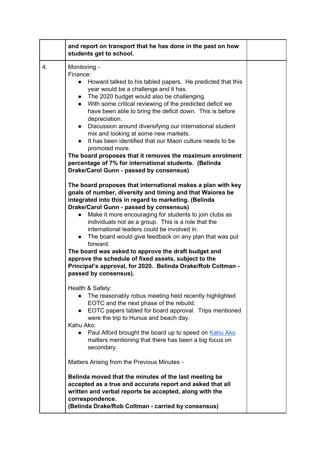|    | and report on transport that he has done in the past on how<br>students get to school.                                                                                                                                                                                                                                                                                                                                                                                                                                                                                                                                                                                                                  |  |
|----|---------------------------------------------------------------------------------------------------------------------------------------------------------------------------------------------------------------------------------------------------------------------------------------------------------------------------------------------------------------------------------------------------------------------------------------------------------------------------------------------------------------------------------------------------------------------------------------------------------------------------------------------------------------------------------------------------------|--|
| 4. | Monitoring -<br>Finance:<br>Howard talked to his tabled papers. He predicted that this<br>$\bullet$<br>year would be a challenge and it has.<br>• The 2020 budget would also be challenging.<br>With some critical reviewing of the predicted deficit we<br>$\bullet$<br>have been able to bring the deficit down. This is before<br>depreciation.<br>• Discussion around diversifying our international student<br>mix and looking at some new markets.<br>It has been identified that our Maori culture needs to be<br>promoted more.<br>The board proposes that it removes the maximum enrolment<br>percentage of 7% for international students. (Belinda<br>Drake/Carol Gunn - passed by consensus) |  |
|    | The board proposes that international makes a plan with key<br>goals of number, diversity and timing and that Waiorea be<br>integrated into this in regard to marketing. (Belinda<br>Drake/Carol Gunn - passed by consensus)<br>Make it more encouraging for students to join clubs as<br>$\bullet$<br>individuals not as a group. This is a role that the<br>international leaders could be involved in.<br>• The board would give feedback on any plan that was put<br>forward.<br>The board was asked to approve the draft budget and<br>approve the schedule of fixed assets, subject to the<br>Principal's approval, for 2020. Belinda Drake/Rob Coltman -<br>passed by consensus).                |  |
|    | Health & Safety:<br>The reasonably robus meeting held recently highlighted<br>EOTC and the next phase of the rebuild.<br>EOTC papers tabled for board approval. Trips mentioned<br>$\bullet$<br>were the trip to Hunua and beach day.<br>Kahu Ako:<br>Paul Alford brought the board up to speed on Kahu Ako<br>$\bullet$<br>matters mentioning that there has been a big focus on<br>secondary.                                                                                                                                                                                                                                                                                                         |  |
|    | Matters Arising from the Previous Minutes -                                                                                                                                                                                                                                                                                                                                                                                                                                                                                                                                                                                                                                                             |  |
|    | Belinda moved that the minutes of the last meeting be<br>accepted as a true and accurate report and asked that all<br>written and verbal reports be accepted, along with the<br>correspondence.<br>(Belinda Drake/Rob Coltman - carried by consensus)                                                                                                                                                                                                                                                                                                                                                                                                                                                   |  |